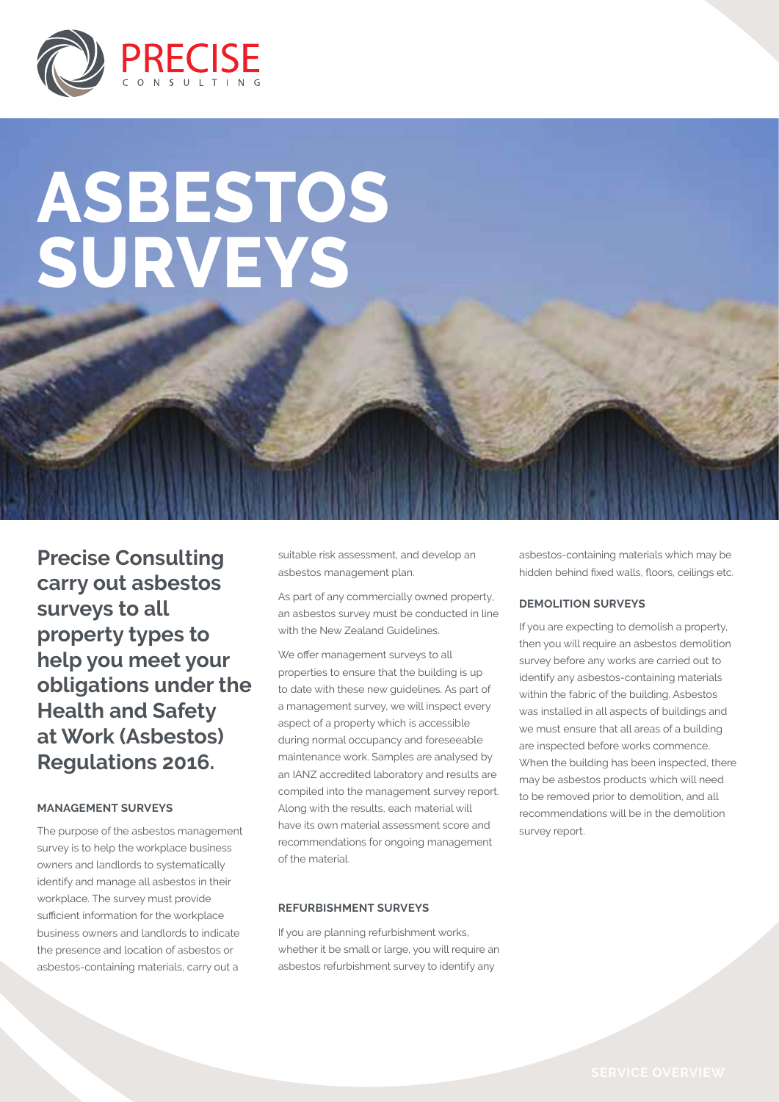

# **Asbestos Surveys**

**Precise Consulting carry out asbestos surveys to all property types to help you meet your obligations under the Health and Safety at Work (Asbestos) Regulations 2016.**

#### **MANAGEMENT SURVEYS**

The purpose of the asbestos management survey is to help the workplace business owners and landlords to systematically identify and manage all asbestos in their workplace. The survey must provide sufficient information for the workplace business owners and landlords to indicate the presence and location of asbestos or asbestos-containing materials, carry out a

suitable risk assessment, and develop an asbestos management plan.

As part of any commercially owned property, an asbestos survey must be conducted in line with the New Zealand Guidelines.

We offer management surveys to all properties to ensure that the building is up to date with these new guidelines. As part of a management survey, we will inspect every aspect of a property which is accessible during normal occupancy and foreseeable maintenance work. Samples are analysed by an IANZ accredited laboratory and results are compiled into the management survey report. Along with the results, each material will have its own material assessment score and recommendations for ongoing management of the material.

#### **REFURBISHMENT SURVEYS**

If you are planning refurbishment works, whether it be small or large, you will require an asbestos refurbishment survey to identify any

asbestos-containing materials which may be hidden behind fixed walls, floors, ceilings etc.

#### **DEMOLITION SURVEYS**

If you are expecting to demolish a property, then you will require an asbestos demolition survey before any works are carried out to identify any asbestos-containing materials within the fabric of the building. Asbestos was installed in all aspects of buildings and we must ensure that all areas of a building are inspected before works commence. When the building has been inspected, there may be asbestos products which will need to be removed prior to demolition, and all recommendations will be in the demolition survey report.